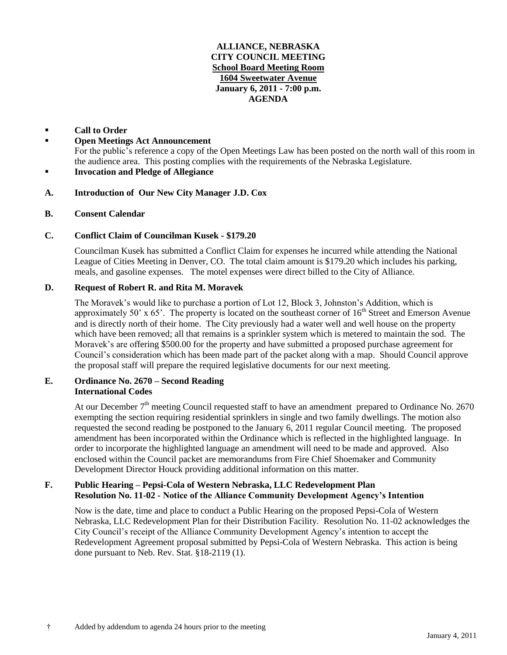### **ALLIANCE, NEBRASKA CITY COUNCIL MEETING School Board Meeting Room 1604 Sweetwater Avenue January 6, 2011 - 7:00 p.m. AGENDA**

## **Call to Order**

- **Open Meetings Act Announcement** For the public's reference a copy of the Open Meetings Law has been posted on the north wall of this room in the audience area. This posting complies with the requirements of the Nebraska Legislature. **Invocation and Pledge of Allegiance**
- **A. Introduction of Our New City Manager J.D. Cox**

# **B. Consent Calendar**

# **C. Conflict Claim of Councilman Kusek - \$179.20**

Councilman Kusek has submitted a Conflict Claim for expenses he incurred while attending the National League of Cities Meeting in Denver, CO. The total claim amount is \$179.20 which includes his parking, meals, and gasoline expenses. The motel expenses were direct billed to the City of Alliance.

### **D. Request of Robert R. and Rita M. Moravek**

The Moravek's would like to purchase a portion of Lot 12, Block 3, Johnston's Addition, which is approximately 50' x 65'. The property is located on the southeast corner of  $16<sup>th</sup>$  Street and Emerson Avenue and is directly north of their home. The City previously had a water well and well house on the property which have been removed; all that remains is a sprinkler system which is metered to maintain the sod. The Moravek's are offering \$500.00 for the property and have submitted a proposed purchase agreement for Council's consideration which has been made part of the packet along with a map. Should Council approve the proposal staff will prepare the required legislative documents for our next meeting.

### **E. Ordinance No. 2670 – Second Reading International Codes**

At our December  $7<sup>th</sup>$  meeting Council requested staff to have an amendment prepared to Ordinance No. 2670 exempting the section requiring residential sprinklers in single and two family dwellings. The motion also requested the second reading be postponed to the January 6, 2011 regular Council meeting. The proposed amendment has been incorporated within the Ordinance which is reflected in the highlighted language. In order to incorporate the highlighted language an amendment will need to be made and approved. Also enclosed within the Council packet are memorandums from Fire Chief Shoemaker and Community Development Director Houck providing additional information on this matter.

# **F. Public Hearing – Pepsi-Cola of Western Nebraska, LLC Redevelopment Plan Resolution No. 11-02 - Notice of the Alliance Community Development Agency's Intention**

Now is the date, time and place to conduct a Public Hearing on the proposed Pepsi-Cola of Western Nebraska, LLC Redevelopment Plan for their Distribution Facility. Resolution No. 11-02 acknowledges the City Council's receipt of the Alliance Community Development Agency's intention to accept the Redevelopment Agreement proposal submitted by Pepsi-Cola of Western Nebraska. This action is being done pursuant to Neb. Rev. Stat. §18-2119 (1).